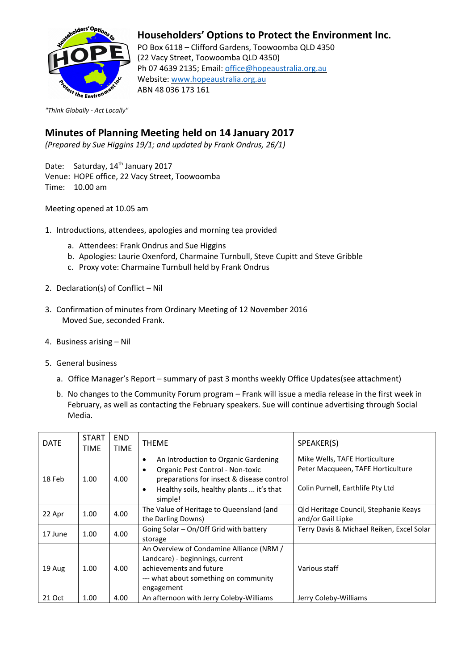

## **Householders' Options to Protect the Environment Inc.**

PO Box 6118 – Clifford Gardens, Toowoomba QLD 4350 (22 Vacy Street, Toowoomba QLD 4350) Ph 07 4639 2135; Email: office@hopeaustralia.org.au Website: [www.hopeaustralia.org.au](http://www.hopeaustralia.org.au/) ABN 48 036 173 161

*"Think Globally - Act Locally"*

## **Minutes of Planning Meeting held on 14 January 2017**

*(Prepared by Sue Higgins 19/1; and updated by Frank Ondrus, 26/1)*

Date: Saturday, 14<sup>th</sup> January 2017 Venue: HOPE office, 22 Vacy Street, Toowoomba Time: 10.00 am

Meeting opened at 10.05 am

- 1. Introductions, attendees, apologies and morning tea provided
	- a. Attendees: Frank Ondrus and Sue Higgins
	- b. Apologies: Laurie Oxenford, Charmaine Turnbull, Steve Cupitt and Steve Gribble
	- c. Proxy vote: Charmaine Turnbull held by Frank Ondrus
- 2. Declaration(s) of Conflict Nil
- 3. Confirmation of minutes from Ordinary Meeting of 12 November 2016 Moved Sue, seconded Frank.
- 4. Business arising Nil
- 5. General business
	- a. Office Manager's Report summary of past 3 months weekly Office Updates(see attachment)
	- b. No changes to the Community Forum program Frank will issue a media release in the first week in February, as well as contacting the February speakers. Sue will continue advertising through Social Media.

| <b>DATE</b> | <b>START</b><br>TIME | <b>END</b><br><b>TIME</b> | <b>THEME</b>                                                                                                                                                                                                        | SPEAKER(S)                                                                                             |
|-------------|----------------------|---------------------------|---------------------------------------------------------------------------------------------------------------------------------------------------------------------------------------------------------------------|--------------------------------------------------------------------------------------------------------|
| 18 Feb      | 1.00                 | 4.00                      | An Introduction to Organic Gardening<br>$\bullet$<br>Organic Pest Control - Non-toxic<br>$\bullet$<br>preparations for insect & disease control<br>Healthy soils, healthy plants  it's that<br>$\bullet$<br>simple! | Mike Wells, TAFE Horticulture<br>Peter Macqueen, TAFE Horticulture<br>Colin Purnell, Earthlife Pty Ltd |
| 22 Apr      | 1.00                 | 4.00                      | The Value of Heritage to Queensland (and<br>the Darling Downs)                                                                                                                                                      | Qld Heritage Council, Stephanie Keays<br>and/or Gail Lipke                                             |
| 17 June     | 1.00                 | 4.00                      | Going Solar - On/Off Grid with battery<br>storage                                                                                                                                                                   | Terry Davis & Michael Reiken, Excel Solar                                                              |
| 19 Aug      | 1.00                 | 4.00                      | An Overview of Condamine Alliance (NRM /<br>Landcare) - beginnings, current<br>achievements and future<br>--- what about something on community<br>engagement                                                       | Various staff                                                                                          |
| 21 Oct      | 1.00                 | 4.00                      | An afternoon with Jerry Coleby-Williams                                                                                                                                                                             | Jerry Coleby-Williams                                                                                  |